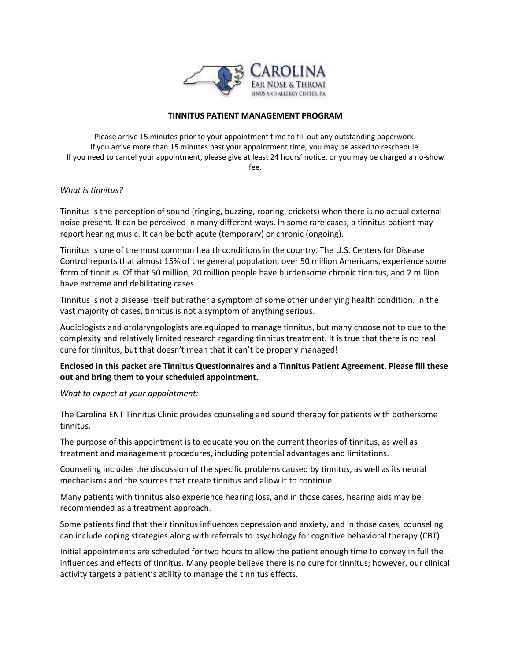

## **TINNITUS PATIENT MANAGEMENT PROGRAM**

Please arrive 15 minutes prior to your appointment time to fill out any outstanding paperwork. If you arrive more than 15 minutes past your appointment time, you may be asked to reschedule. If you need to cancel your appointment, please give at least 24 hours' notice, or you may be charged a no-show fee.

## *What is tinnitus?*

Tinnitus is the perception of sound (ringing, buzzing, roaring, crickets) when there is no actual external noise present. It can be perceived in many different ways. In some rare cases, a tinnitus patient may report hearing music. It can be both acute (temporary) or chronic (ongoing).

Tinnitus is one of the most common health conditions in the country. The U.S. Centers for Disease Control reports that almost 15% of the general population, over 50 million Americans, experience some form of tinnitus. Of that 50 million, 20 million people have burdensome chronic tinnitus, and 2 million have extreme and debilitating cases.

Tinnitus is not a disease itself but rather a symptom of some other underlying health condition. In the vast majority of cases, tinnitus is not a symptom of anything serious.

Audiologists and otolaryngologists are equipped to manage tinnitus, but many choose not to due to the complexity and relatively limited research regarding tinnitus treatment. It is true that there is no real cure for tinnitus, but that doesn't mean that it can't be properly managed!

**Enclosed in this packet are Tinnitus Questionnaires and a Tinnitus Patient Agreement. Please fill these out and bring them to your scheduled appointment.**

*What to expect at your appointment:*

The Carolina ENT Tinnitus Clinic provides counseling and sound therapy for patients with bothersome tinnitus.

The purpose of this appointment is to educate you on the current theories of tinnitus, as well as treatment and management procedures, including potential advantages and limitations.

Counseling includes the discussion of the specific problems caused by tinnitus, as well as its neural mechanisms and the sources that create tinnitus and allow it to continue.

Many patients with tinnitus also experience hearing loss, and in those cases, hearing aids may be recommended as a treatment approach.

Some patients find that their tinnitus influences depression and anxiety, and in those cases, counseling can include coping strategies along with referrals to psychology for cognitive behavioral therapy (CBT).

Initial appointments are scheduled for two hours to allow the patient enough time to convey in full the influences and effects of tinnitus. Many people believe there is no cure for tinnitus; however, our clinical activity targets a patient's ability to manage the tinnitus effects.